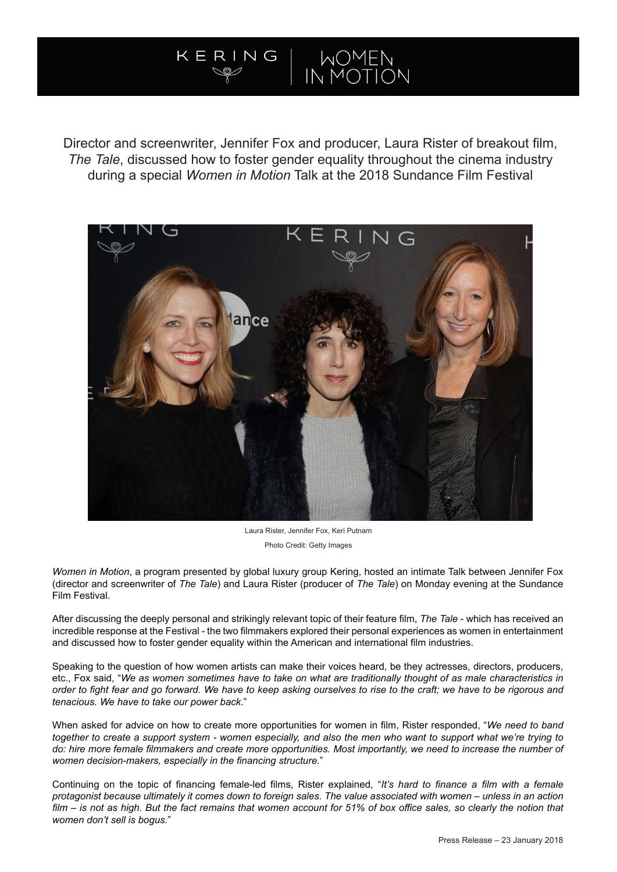# WOMEN<br>IN MOTION N G

Director and screenwriter, Jennifer Fox and producer, Laura Rister of breakout film, *The Tale*, discussed how to foster gender equality throughout the cinema industry during a special *Women in Motion* Talk at the 2018 Sundance Film Festival



Laura Rister, Jennifer Fox, Keri Putnam Photo Credit: Getty Images

*Women in Motion*, a program presented by global luxury group Kering, hosted an intimate Talk between Jennifer Fox (director and screenwriter of *The Tale*) and Laura Rister (producer of *The Tale*) on Monday evening at the Sundance Film Festival.

After discussing the deeply personal and strikingly relevant topic of their feature film, *The Tale* - which has received an incredible response at the Festival - the two filmmakers explored their personal experiences as women in entertainment and discussed how to foster gender equality within the American and international film industries.

Speaking to the question of how women artists can make their voices heard, be they actresses, directors, producers, etc., Fox said, "*We as women sometimes have to take on what are traditionally thought of as male characteristics in order to fight fear and go forward. We have to keep asking ourselves to rise to the craft; we have to be rigorous and tenacious. We have to take our power back*."

When asked for advice on how to create more opportunities for women in film, Rister responded, "*We need to band together to create a support system - women especially, and also the men who want to support what we're trying to*  do: hire more female filmmakers and create more opportunities. Most importantly, we need to increase the number of *women decision-makers, especially in the financing structure.*"

Continuing on the topic of financing female-led films, Rister explained, "*It's hard to finance a film with a female protagonist because ultimately it comes down to foreign sales. The value associated with women – unless in an action film – is not as high. But the fact remains that women account for 51% of box office sales, so clearly the notion that women don't sell is bogus.*"